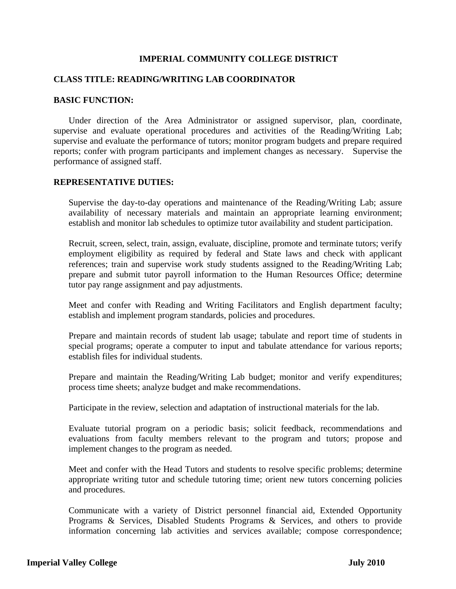### **IMPERIAL COMMUNITY COLLEGE DISTRICT**

### **CLASS TITLE: READING/WRITING LAB COORDINATOR**

#### **BASIC FUNCTION:**

 Under direction of the Area Administrator or assigned supervisor, plan, coordinate, supervise and evaluate operational procedures and activities of the Reading/Writing Lab; supervise and evaluate the performance of tutors; monitor program budgets and prepare required reports; confer with program participants and implement changes as necessary. Supervise the performance of assigned staff.

#### **REPRESENTATIVE DUTIES:**

Supervise the day-to-day operations and maintenance of the Reading/Writing Lab; assure availability of necessary materials and maintain an appropriate learning environment; establish and monitor lab schedules to optimize tutor availability and student participation.

Recruit, screen, select, train, assign, evaluate, discipline, promote and terminate tutors; verify employment eligibility as required by federal and State laws and check with applicant references; train and supervise work study students assigned to the Reading/Writing Lab; prepare and submit tutor payroll information to the Human Resources Office; determine tutor pay range assignment and pay adjustments.

Meet and confer with Reading and Writing Facilitators and English department faculty; establish and implement program standards, policies and procedures.

Prepare and maintain records of student lab usage; tabulate and report time of students in special programs; operate a computer to input and tabulate attendance for various reports; establish files for individual students.

Prepare and maintain the Reading/Writing Lab budget; monitor and verify expenditures; process time sheets; analyze budget and make recommendations.

Participate in the review, selection and adaptation of instructional materials for the lab.

Evaluate tutorial program on a periodic basis; solicit feedback, recommendations and evaluations from faculty members relevant to the program and tutors; propose and implement changes to the program as needed.

Meet and confer with the Head Tutors and students to resolve specific problems; determine appropriate writing tutor and schedule tutoring time; orient new tutors concerning policies and procedures.

Communicate with a variety of District personnel financial aid, Extended Opportunity Programs & Services, Disabled Students Programs & Services, and others to provide information concerning lab activities and services available; compose correspondence;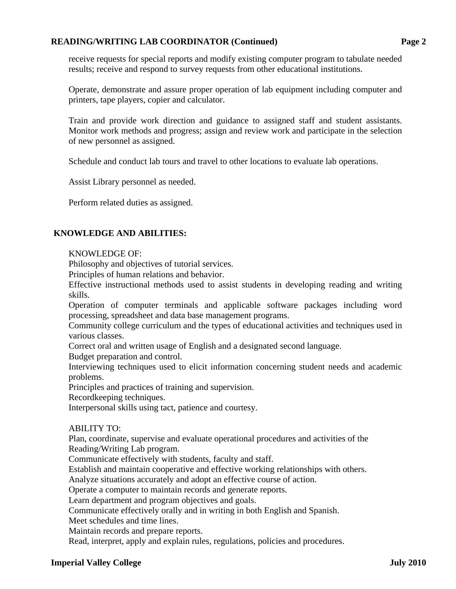## **READING/WRITING LAB COORDINATOR (Continued) Page 2**

receive requests for special reports and modify existing computer program to tabulate needed results; receive and respond to survey requests from other educational institutions.

Operate, demonstrate and assure proper operation of lab equipment including computer and printers, tape players, copier and calculator.

Train and provide work direction and guidance to assigned staff and student assistants. Monitor work methods and progress; assign and review work and participate in the selection of new personnel as assigned.

Schedule and conduct lab tours and travel to other locations to evaluate lab operations.

Assist Library personnel as needed.

Perform related duties as assigned.

# **KNOWLEDGE AND ABILITIES:**

### KNOWLEDGE OF:

Philosophy and objectives of tutorial services.

Principles of human relations and behavior.

Effective instructional methods used to assist students in developing reading and writing skills.

Operation of computer terminals and applicable software packages including word processing, spreadsheet and data base management programs.

Community college curriculum and the types of educational activities and techniques used in various classes.

Correct oral and written usage of English and a designated second language.

Budget preparation and control.

Interviewing techniques used to elicit information concerning student needs and academic problems.

Principles and practices of training and supervision.

Recordkeeping techniques.

Interpersonal skills using tact, patience and courtesy.

### ABILITY TO:

Plan, coordinate, supervise and evaluate operational procedures and activities of the Reading/Writing Lab program.

Communicate effectively with students, faculty and staff.

Establish and maintain cooperative and effective working relationships with others.

Analyze situations accurately and adopt an effective course of action.

Operate a computer to maintain records and generate reports.

Learn department and program objectives and goals.

Communicate effectively orally and in writing in both English and Spanish.

Meet schedules and time lines.

Maintain records and prepare reports.

Read, interpret, apply and explain rules, regulations, policies and procedures.

### **Imperial Valley College July 2010**